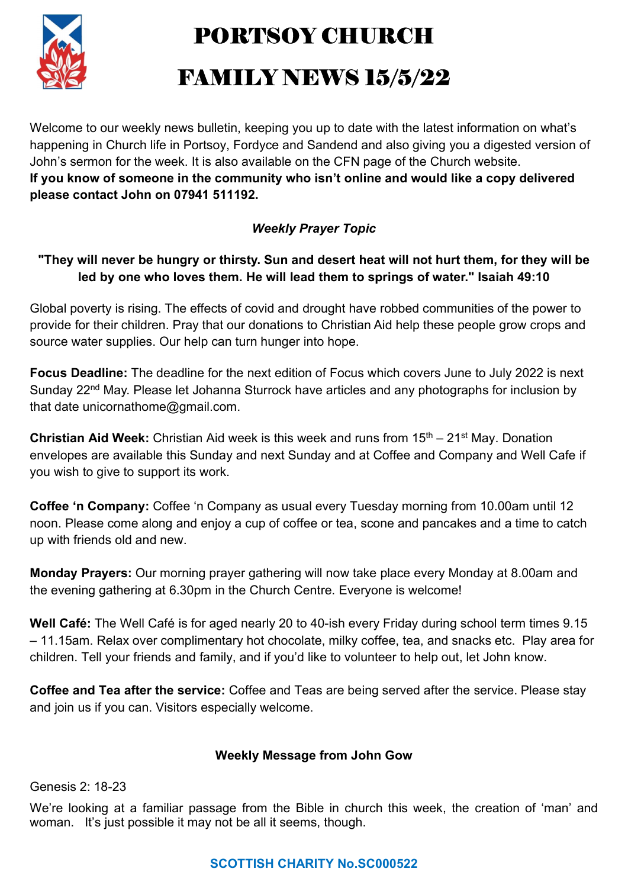

PORTSOY CHURCH

# FAMILY NEWS 15/5/22

Welcome to our weekly news bulletin, keeping you up to date with the latest information on what's happening in Church life in Portsoy, Fordyce and Sandend and also giving you a digested version of John's sermon for the week. It is also available on the CFN page of the Church website. If you know of someone in the community who isn't online and would like a copy delivered please contact John on 07941 511192.

## Weekly Prayer Topic

### "They will never be hungry or thirsty. Sun and desert heat will not hurt them, for they will be led by one who loves them. He will lead them to springs of water." Isaiah 49:10

Global poverty is rising. The effects of covid and drought have robbed communities of the power to provide for their children. Pray that our donations to Christian Aid help these people grow crops and source water supplies. Our help can turn hunger into hope.

Focus Deadline: The deadline for the next edition of Focus which covers June to July 2022 is next Sunday 22<sup>nd</sup> May. Please let Johanna Sturrock have articles and any photographs for inclusion by that date unicornathome@gmail.com.

**Christian Aid Week:** Christian Aid week is this week and runs from  $15<sup>th</sup> - 21<sup>st</sup>$  May. Donation envelopes are available this Sunday and next Sunday and at Coffee and Company and Well Cafe if you wish to give to support its work.

Coffee 'n Company: Coffee 'n Company as usual every Tuesday morning from 10.00am until 12 noon. Please come along and enjoy a cup of coffee or tea, scone and pancakes and a time to catch up with friends old and new.

Monday Prayers: Our morning prayer gathering will now take place every Monday at 8.00am and the evening gathering at 6.30pm in the Church Centre. Everyone is welcome!

Well Café: The Well Café is for aged nearly 20 to 40-ish every Friday during school term times 9.15 – 11.15am. Relax over complimentary hot chocolate, milky coffee, tea, and snacks etc. Play area for children. Tell your friends and family, and if you'd like to volunteer to help out, let John know.

Coffee and Tea after the service: Coffee and Teas are being served after the service. Please stay and join us if you can. Visitors especially welcome.

#### Weekly Message from John Gow

Genesis 2: 18-23

We're looking at a familiar passage from the Bible in church this week, the creation of 'man' and woman. It's just possible it may not be all it seems, though.

## SCOTTISH CHARITY No.SC000522